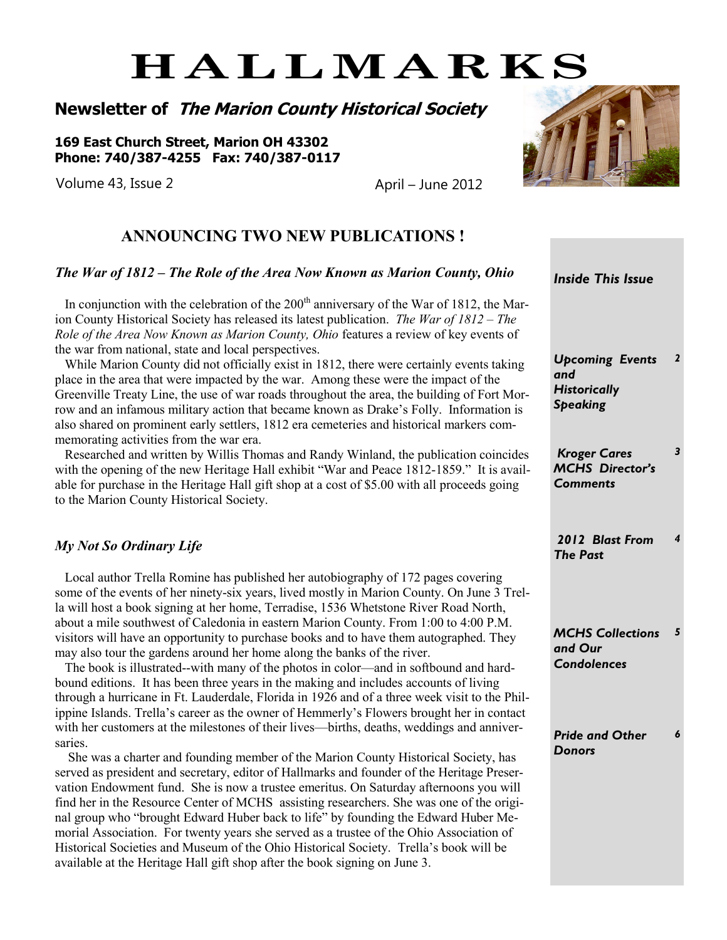# **HALLMARKS**

**Newsletter of The Marion County Historical Society**

**169 East Church Street, Marion OH 43302 Phone: 740/387-4255 Fax: 740/387-0117**

Volume 43, Issue 2 April – June 2012



### **ANNOUNCING TWO NEW PUBLICATIONS !**

#### *The War of 1812 – The Role of the Area Now Known as Marion County, Ohio*

In conjunction with the celebration of the  $200<sup>th</sup>$  anniversary of the War of 1812, the Marion County Historical Society has released its latest publication. *The War of 1812 – The Role of the Area Now Known as Marion County, Ohio* features a review of key events of the war from national, state and local perspectives.

 While Marion County did not officially exist in 1812, there were certainly events taking place in the area that were impacted by the war. Among these were the impact of the Greenville Treaty Line, the use of war roads throughout the area, the building of Fort Morrow and an infamous military action that became known as Drake's Folly. Information is also shared on prominent early settlers, 1812 era cemeteries and historical markers commemorating activities from the war era.

 Researched and written by Willis Thomas and Randy Winland, the publication coincides with the opening of the new Heritage Hall exhibit "War and Peace 1812-1859." It is available for purchase in the Heritage Hall gift shop at a cost of \$5.00 with all proceeds going to the Marion County Historical Society.

#### *My Not So Ordinary Life*

 Local author Trella Romine has published her autobiography of 172 pages covering some of the events of her ninety-six years, lived mostly in Marion County. On June 3 Trella will host a book signing at her home, Terradise, 1536 Whetstone River Road North, about a mile southwest of Caledonia in eastern Marion County. From 1:00 to 4:00 P.M. visitors will have an opportunity to purchase books and to have them autographed. They may also tour the gardens around her home along the banks of the river.

 The book is illustrated--with many of the photos in color—and in softbound and hardbound editions. It has been three years in the making and includes accounts of living through a hurricane in Ft. Lauderdale, Florida in 1926 and of a three week visit to the Philippine Islands. Trella's career as the owner of Hemmerly's Flowers brought her in contact with her customers at the milestones of their lives—births, deaths, weddings and anniversaries.

 She was a charter and founding member of the Marion County Historical Society, has served as president and secretary, editor of Hallmarks and founder of the Heritage Preservation Endowment fund. She is now a trustee emeritus. On Saturday afternoons you will find her in the Resource Center of MCHS assisting researchers. She was one of the original group who "brought Edward Huber back to life" by founding the Edward Huber Memorial Association. For twenty years she served as a trustee of the Ohio Association of Historical Societies and Museum of the Ohio Historical Society. Trella's book will be available at the Heritage Hall gift shop after the book signing on June 3.

*Inside This Issue Upcoming Events and Historically Speaking 2 Kroger Cares MCHS Director's Comments 3 2012 Blast From The Past 4 MCHS Collections and Our Condolences 5*

*Pride and Other Donors 6*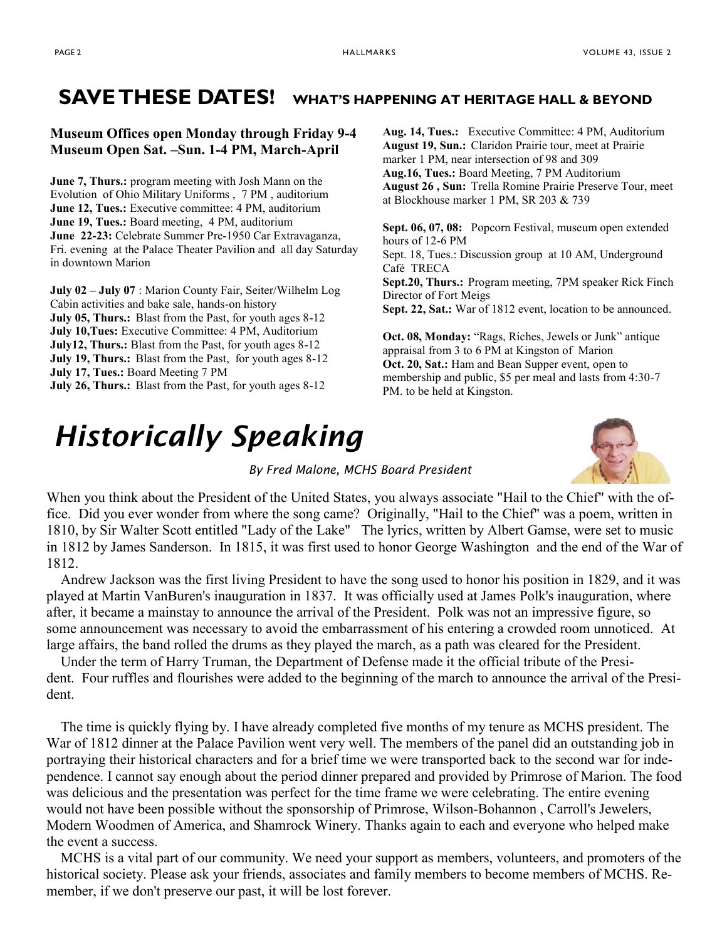## **SAVE THESE DATES! WHAT'S HAPPENING AT HERITAGE HALL & BEYOND**

#### **Museum Offices open Monday through Friday 9-4 Museum Open Sat. –Sun. 1-4 PM, March-April**

**June 7, Thurs.:** program meeting with Josh Mann on the Evolution of Ohio Military Uniforms , 7 PM , auditorium **June 12, Tues.:** Executive committee: 4 PM, auditorium **June 19, Tues.:** Board meeting, 4 PM, auditorium **June 22-23:** Celebrate Summer Pre-1950 Car Extravaganza, Fri. evening at the Palace Theater Pavilion and all day Saturday in downtown Marion

**July 02 – July 07** : Marion County Fair, Seiter/Wilhelm Log Cabin activities and bake sale, hands-on history **July 05, Thurs.:** Blast from the Past, for youth ages 8-12 **July 10,Tues:** Executive Committee: 4 PM, Auditorium **July12, Thurs.:** Blast from the Past, for youth ages 8-12 **July 19, Thurs.:** Blast from the Past, for youth ages 8-12 **July 17, Tues.:** Board Meeting 7 PM **July 26, Thurs.:** Blast from the Past, for youth ages 8-12

# *Historically Speaking*

**Aug. 14, Tues.:** Executive Committee: 4 PM, Auditorium **August 19, Sun.:** Claridon Prairie tour, meet at Prairie marker 1 PM, near intersection of 98 and 309 **Aug.16, Tues.:** Board Meeting, 7 PM Auditorium **August 26 , Sun:** Trella Romine Prairie Preserve Tour, meet at Blockhouse marker 1 PM, SR 203 & 739

**Sept. 06, 07, 08:** Popcorn Festival, museum open extended hours of 12-6 PM

Sept. 18, Tues.: Discussion group at 10 AM, Underground Café TRECA

**Sept.20, Thurs.:** Program meeting, 7PM speaker Rick Finch Director of Fort Meigs

**Sept. 22, Sat.:** War of 1812 event, location to be announced.

**Oct. 08, Monday:** "Rags, Riches, Jewels or Junk" antique appraisal from 3 to 6 PM at Kingston of Marion **Oct. 20, Sat.:** Ham and Bean Supper event, open to membership and public, \$5 per meal and lasts from 4:30-7 PM. to be held at Kingston.



*By Fred Malone, MCHS Board President*

When you think about the President of the United States, you always associate "Hail to the Chief" with the office. Did you ever wonder from where the song came? Originally, "Hail to the Chief" was a poem, written in 1810, by Sir Walter Scott entitled "Lady of the Lake" The lyrics, written by Albert Gamse, were set to music in 1812 by James Sanderson. In 1815, it was first used to honor George Washington and the end of the War of 1812.

 Andrew Jackson was the first living President to have the song used to honor his position in 1829, and it was played at Martin VanBuren's inauguration in 1837. It was officially used at James Polk's inauguration, where after, it became a mainstay to announce the arrival of the President. Polk was not an impressive figure, so some announcement was necessary to avoid the embarrassment of his entering a crowded room unnoticed. At large affairs, the band rolled the drums as they played the march, as a path was cleared for the President.

 Under the term of Harry Truman, the Department of Defense made it the official tribute of the President. Four ruffles and flourishes were added to the beginning of the march to announce the arrival of the President.

 The time is quickly flying by. I have already completed five months of my tenure as MCHS president. The War of 1812 dinner at the Palace Pavilion went very well. The members of the panel did an outstanding job in portraying their historical characters and for a brief time we were transported back to the second war for independence. I cannot say enough about the period dinner prepared and provided by Primrose of Marion. The food was delicious and the presentation was perfect for the time frame we were celebrating. The entire evening would not have been possible without the sponsorship of Primrose, Wilson-Bohannon , Carroll's Jewelers, Modern Woodmen of America, and Shamrock Winery. Thanks again to each and everyone who helped make the event a success.

 MCHS is a vital part of our community. We need your support as members, volunteers, and promoters of the historical society. Please ask your friends, associates and family members to become members of MCHS. Remember, if we don't preserve our past, it will be lost forever.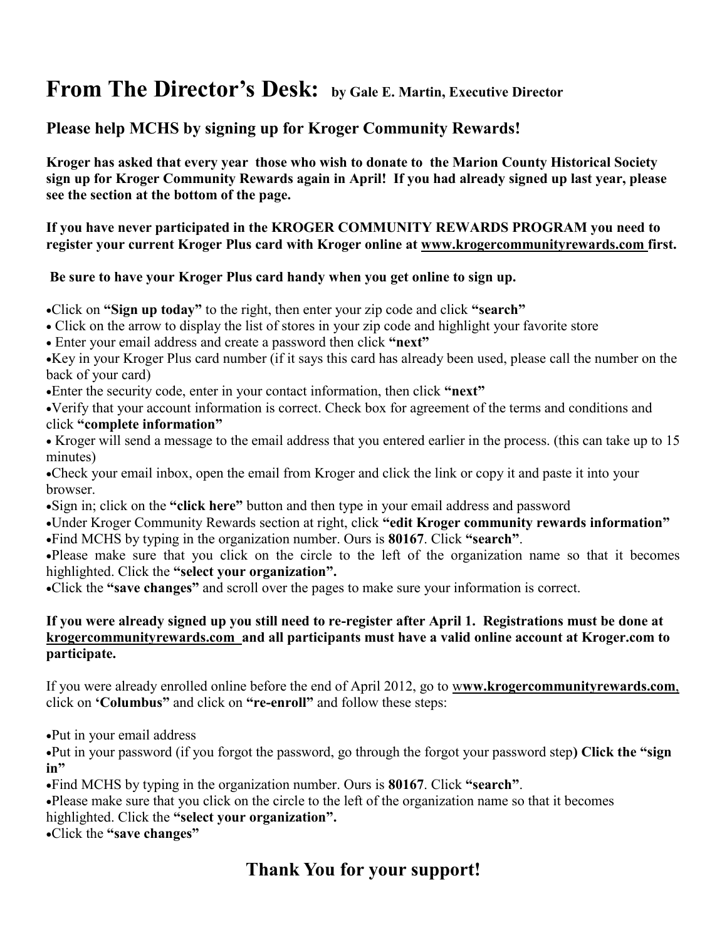# **From The Director's Desk: by Gale E. Martin, Executive Director**

### **Please help MCHS by signing up for Kroger Community Rewards!**

**Kroger has asked that every year those who wish to donate to the Marion County Historical Society sign up for Kroger Community Rewards again in April! If you had already signed up last year, please see the section at the bottom of the page.**

**If you have never participated in the KROGER COMMUNITY REWARDS PROGRAM you need to register your current Kroger Plus card with Kroger online at www.krogercommunityrewards.com first.**

#### **Be sure to have your Kroger Plus card handy when you get online to sign up.**

• Click on **"Sign up today"** to the right, then enter your zip code and click **"search"** 

- Click on the arrow to display the list of stores in your zip code and highlight your favorite store
- Enter your email address and create a password then click **"next"**

Key in your Kroger Plus card number (if it says this card has already been used, please call the number on the back of your card)

Enter the security code, enter in your contact information, then click **"next"**

Verify that your account information is correct. Check box for agreement of the terms and conditions and click **"complete information"**

• Kroger will send a message to the email address that you entered earlier in the process. (this can take up to 15 minutes)

Check your email inbox, open the email from Kroger and click the link or copy it and paste it into your browser.

Sign in; click on the **"click here"** button and then type in your email address and password

Under Kroger Community Rewards section at right, click **"edit Kroger community rewards information"** Find MCHS by typing in the organization number. Ours is **80167**. Click **"search"**.

Please make sure that you click on the circle to the left of the organization name so that it becomes highlighted. Click the **"select your organization".** 

Click the **"save changes"** and scroll over the pages to make sure your information is correct.

#### **If you were already signed up you still need to re-register after April 1. Registrations must be done at krogercommunityrewards.com and all participants must have a valid online account at Kroger.com to participate.**

If you were already enrolled online before the end of April 2012, go to w**ww.krogercommunityrewards.com**, click on **'Columbus"** and click on **"re-enroll"** and follow these steps:

Put in your email address

Put in your password (if you forgot the password, go through the forgot your password step**) Click the "sign in"**

Find MCHS by typing in the organization number. Ours is **80167**. Click **"search"**.

Please make sure that you click on the circle to the left of the organization name so that it becomes

highlighted. Click the **"select your organization".** 

Click the **"save changes"**

# **Thank You for your support!**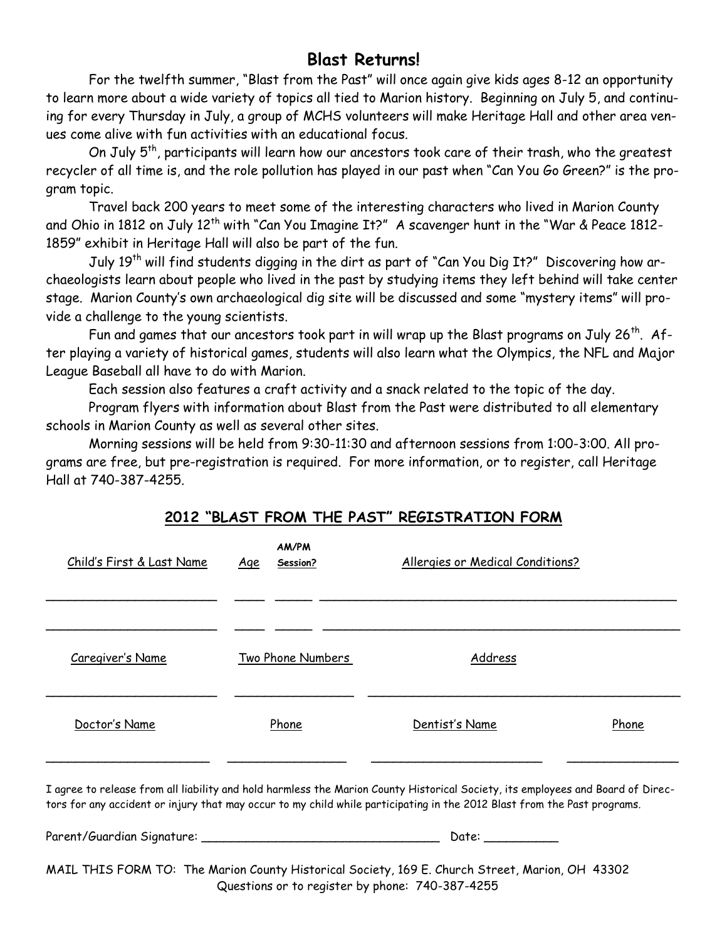### **Blast Returns!**

For the twelfth summer, "Blast from the Past" will once again give kids ages 8-12 an opportunity to learn more about a wide variety of topics all tied to Marion history. Beginning on July 5, and continuing for every Thursday in July, a group of MCHS volunteers will make Heritage Hall and other area venues come alive with fun activities with an educational focus.

On July 5<sup>th</sup>, participants will learn how our ancestors took care of their trash, who the greatest recycler of all time is, and the role pollution has played in our past when "Can You Go Green?" is the program topic.

Travel back 200 years to meet some of the interesting characters who lived in Marion County and Ohio in 1812 on July 12<sup>th</sup> with "Can You Imagine It?" A scavenger hunt in the "War & Peace 1812-1859" exhibit in Heritage Hall will also be part of the fun.

July 19th will find students digging in the dirt as part of "Can You Dig It?" Discovering how archaeologists learn about people who lived in the past by studying items they left behind will take center stage. Marion County's own archaeological dig site will be discussed and some "mystery items" will provide a challenge to the young scientists.

Fun and games that our ancestors took part in will wrap up the Blast programs on July 26<sup>th</sup>. After playing a variety of historical games, students will also learn what the Olympics, the NFL and Major League Baseball all have to do with Marion.

Each session also features a craft activity and a snack related to the topic of the day.

Program flyers with information about Blast from the Past were distributed to all elementary schools in Marion County as well as several other sites.

Morning sessions will be held from 9:30-11:30 and afternoon sessions from 1:00-3:00. All programs are free, but pre-registration is required. For more information, or to register, call Heritage Hall at 740-387-4255.

#### **2012 "BLAST FROM THE PAST" REGISTRATION FORM**

| <u>Child's First &amp; Last Name</u>                                                                                                                                                                                                                        | <b>AM/PM</b><br><u>Age</u><br>Session? | Allergies or Medical Conditions? |       |
|-------------------------------------------------------------------------------------------------------------------------------------------------------------------------------------------------------------------------------------------------------------|----------------------------------------|----------------------------------|-------|
| Caregiver's Name                                                                                                                                                                                                                                            | Two Phone Numbers                      | Address                          |       |
| Doctor's Name                                                                                                                                                                                                                                               | Phone                                  | Dentist's Name                   | Phone |
| I agree to release from all liability and hold harmless the Marion County Historical Society, its employees and Board of Direc-<br>tors for any accident or injury that may occur to my child while participating in the 2012 Blast from the Past programs. |                                        |                                  |       |
|                                                                                                                                                                                                                                                             |                                        | Date: ___________                |       |
| MAIL THIS FORM TO: The Marion County Historical Society, 169 E. Church Street, Marion, OH 43302                                                                                                                                                             |                                        |                                  |       |

Questions or to register by phone: 740-387-4255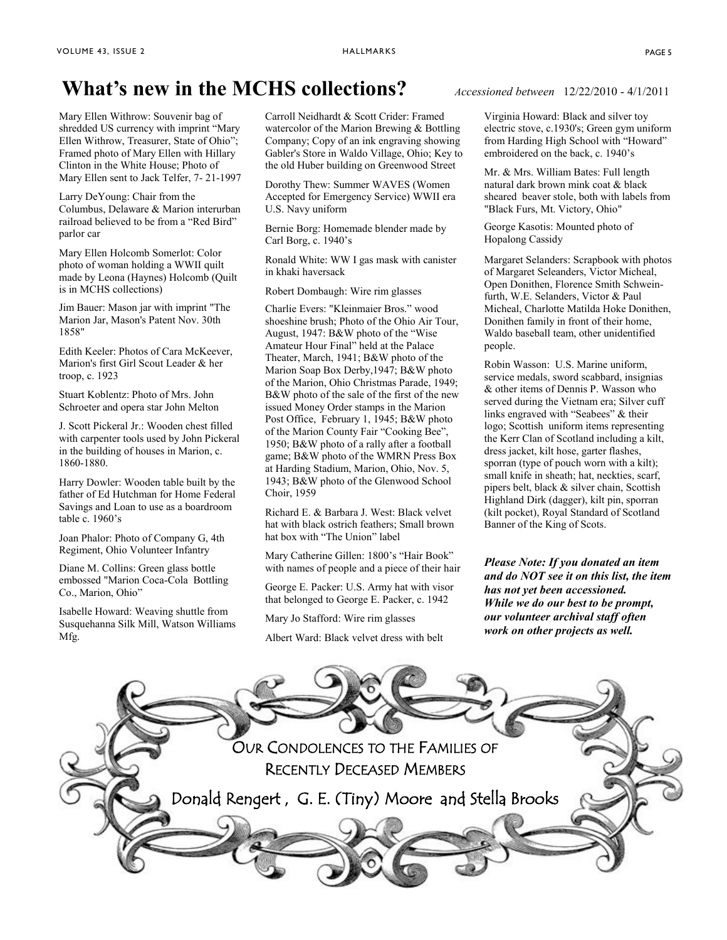# **What's new in the MCHS collections?** *Accessioned between* 12/22/2010 - 4/1/2011

Mary Ellen Withrow: Souvenir bag of shredded US currency with imprint "Mary Ellen Withrow, Treasurer, State of Ohio"; Framed photo of Mary Ellen with Hillary Clinton in the White House; Photo of Mary Ellen sent to Jack Telfer, 7- 21-1997

Larry DeYoung: Chair from the Columbus, Delaware & Marion interurban railroad believed to be from a "Red Bird" parlor car

Mary Ellen Holcomb Somerlot: Color photo of woman holding a WWII quilt made by Leona (Haynes) Holcomb (Quilt is in MCHS collections)

Jim Bauer: Mason jar with imprint "The Marion Jar, Mason's Patent Nov. 30th 1858"

Edith Keeler: Photos of Cara McKeever, Marion's first Girl Scout Leader & her troop, c. 1923

Stuart Koblentz: Photo of Mrs. John Schroeter and opera star John Melton

J. Scott Pickeral Jr.: Wooden chest filled with carpenter tools used by John Pickeral in the building of houses in Marion, c. 1860-1880.

Harry Dowler: Wooden table built by the father of Ed Hutchman for Home Federal Savings and Loan to use as a boardroom table c. 1960's

Joan Phalor: Photo of Company G, 4th Regiment, Ohio Volunteer Infantry

Diane M. Collins: Green glass bottle embossed "Marion Coca-Cola Bottling Co., Marion, Ohio"

Isabelle Howard: Weaving shuttle from Susquehanna Silk Mill, Watson Williams Mfg.

Carroll Neidhardt & Scott Crider: Framed watercolor of the Marion Brewing & Bottling Company; Copy of an ink engraving showing Gabler's Store in Waldo Village, Ohio; Key to the old Huber building on Greenwood Street

Dorothy Thew: Summer WAVES (Women Accepted for Emergency Service) WWII era U.S. Navy uniform

Bernie Borg: Homemade blender made by Carl Borg, c. 1940's

Ronald White: WW I gas mask with canister in khaki haversack

Robert Dombaugh: Wire rim glasses

Charlie Evers: "Kleinmaier Bros." wood shoeshine brush; Photo of the Ohio Air Tour, August, 1947: B&W photo of the "Wise Amateur Hour Final" held at the Palace Theater, March, 1941; B&W photo of the Marion Soap Box Derby,1947; B&W photo of the Marion, Ohio Christmas Parade, 1949; B&W photo of the sale of the first of the new issued Money Order stamps in the Marion Post Office, February 1, 1945; B&W photo of the Marion County Fair "Cooking Bee", 1950; B&W photo of a rally after a football game; B&W photo of the WMRN Press Box at Harding Stadium, Marion, Ohio, Nov. 5, 1943; B&W photo of the Glenwood School Choir, 1959

Richard E. & Barbara J. West: Black velvet hat with black ostrich feathers; Small brown hat box with "The Union" label

Mary Catherine Gillen: 1800's "Hair Book" with names of people and a piece of their hair

George E. Packer: U.S. Army hat with visor that belonged to George E. Packer, c. 1942

Mary Jo Stafford: Wire rim glasses

Albert Ward: Black velvet dress with belt

Virginia Howard: Black and silver toy electric stove, c.1930's; Green gym uniform from Harding High School with "Howard" embroidered on the back, c. 1940's

Mr. & Mrs. William Bates: Full length natural dark brown mink coat & black sheared beaver stole, both with labels from "Black Furs, Mt. Victory, Ohio"

George Kasotis: Mounted photo of Hopalong Cassidy

Margaret Selanders: Scrapbook with photos of Margaret Seleanders, Victor Micheal, Open Donithen, Florence Smith Schweinfurth, W.E. Selanders, Victor & Paul Micheal, Charlotte Matilda Hoke Donithen, Donithen family in front of their home, Waldo baseball team, other unidentified people.

Robin Wasson: U.S. Marine uniform, service medals, sword scabbard, insignias & other items of Dennis P. Wasson who served during the Vietnam era; Silver cuff links engraved with "Seabees" & their logo; Scottish uniform items representing the Kerr Clan of Scotland including a kilt, dress jacket, kilt hose, garter flashes, sporran (type of pouch worn with a kilt); small knife in sheath; hat, neckties, scarf, pipers belt, black & silver chain, Scottish Highland Dirk (dagger), kilt pin, sporran (kilt pocket), Royal Standard of Scotland Banner of the King of Scots.

*Please Note: If you donated an item and do NOT see it on this list, the item has not yet been accessioned. While we do our best to be prompt, our volunteer archival staff often work on other projects as well.*